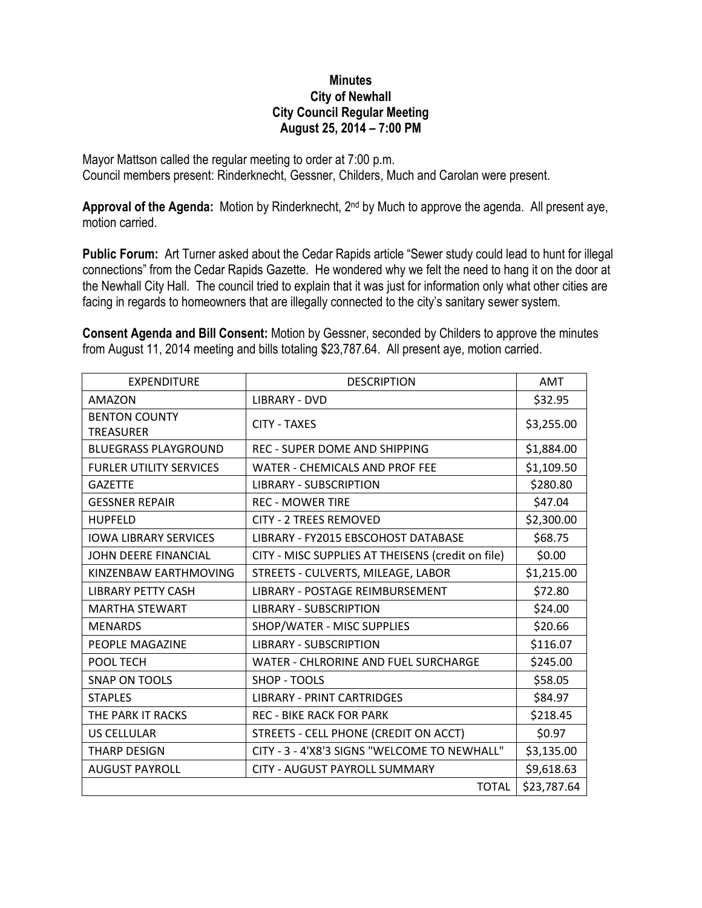## **Minutes City of Newhall City Council Regular Meeting August 25, 2014 – 7:00 PM**

Mayor Mattson called the regular meeting to order at 7:00 p.m. Council members present: Rinderknecht, Gessner, Childers, Much and Carolan were present.

**Approval of the Agenda:** Motion by Rinderknecht, 2nd by Much to approve the agenda. All present aye, motion carried.

**Public Forum:** Art Turner asked about the Cedar Rapids article "Sewer study could lead to hunt for illegal connections" from the Cedar Rapids Gazette. He wondered why we felt the need to hang it on the door at the Newhall City Hall. The council tried to explain that it was just for information only what other cities are facing in regards to homeowners that are illegally connected to the city's sanitary sewer system.

**Consent Agenda and Bill Consent:** Motion by Gessner, seconded by Childers to approve the minutes from August 11, 2014 meeting and bills totaling \$23,787.64. All present aye, motion carried.

| <b>EXPENDITURE</b>                       | <b>DESCRIPTION</b>                                | <b>AMT</b>  |
|------------------------------------------|---------------------------------------------------|-------------|
| AMAZON                                   | <b>LIBRARY - DVD</b>                              | \$32.95     |
| <b>BENTON COUNTY</b><br><b>TREASURER</b> | <b>CITY - TAXES</b>                               | \$3,255.00  |
| <b>BLUEGRASS PLAYGROUND</b>              | <b>REC - SUPER DOME AND SHIPPING</b>              | \$1,884.00  |
| <b>FURLER UTILITY SERVICES</b>           | <b>WATER - CHEMICALS AND PROF FEE</b>             | \$1,109.50  |
| <b>GAZETTE</b>                           | <b>LIBRARY - SUBSCRIPTION</b>                     | \$280.80    |
| <b>GESSNER REPAIR</b>                    | <b>REC - MOWER TIRE</b>                           | \$47.04     |
| <b>HUPFELD</b>                           | <b>CITY - 2 TREES REMOVED</b>                     | \$2,300.00  |
| <b>IOWA LIBRARY SERVICES</b>             | LIBRARY - FY2015 EBSCOHOST DATABASE               | \$68.75     |
| <b>JOHN DEERE FINANCIAL</b>              | CITY - MISC SUPPLIES AT THEISENS (credit on file) | \$0.00      |
| KINZENBAW EARTHMOVING                    | STREETS - CULVERTS, MILEAGE, LABOR                | \$1,215.00  |
| <b>LIBRARY PETTY CASH</b>                | LIBRARY - POSTAGE REIMBURSEMENT                   | \$72.80     |
| <b>MARTHA STEWART</b>                    | <b>LIBRARY - SUBSCRIPTION</b>                     | \$24.00     |
| <b>MENARDS</b>                           | SHOP/WATER - MISC SUPPLIES                        | \$20.66     |
| PEOPLE MAGAZINE                          | <b>LIBRARY - SUBSCRIPTION</b>                     | \$116.07    |
| POOL TECH                                | <b>WATER - CHLRORINE AND FUEL SURCHARGE</b>       | \$245.00    |
| <b>SNAP ON TOOLS</b>                     | SHOP - TOOLS                                      | \$58.05     |
| <b>STAPLES</b>                           | <b>LIBRARY - PRINT CARTRIDGES</b>                 | \$84.97     |
| THE PARK IT RACKS                        | <b>REC - BIKE RACK FOR PARK</b>                   | \$218.45    |
| <b>US CELLULAR</b>                       | STREETS - CELL PHONE (CREDIT ON ACCT)             | \$0.97      |
| <b>THARP DESIGN</b>                      | CITY - 3 - 4'X8'3 SIGNS "WELCOME TO NEWHALL"      | \$3,135.00  |
| <b>AUGUST PAYROLL</b>                    | <b>CITY - AUGUST PAYROLL SUMMARY</b>              | \$9,618.63  |
|                                          | <b>TOTAL</b>                                      | \$23,787.64 |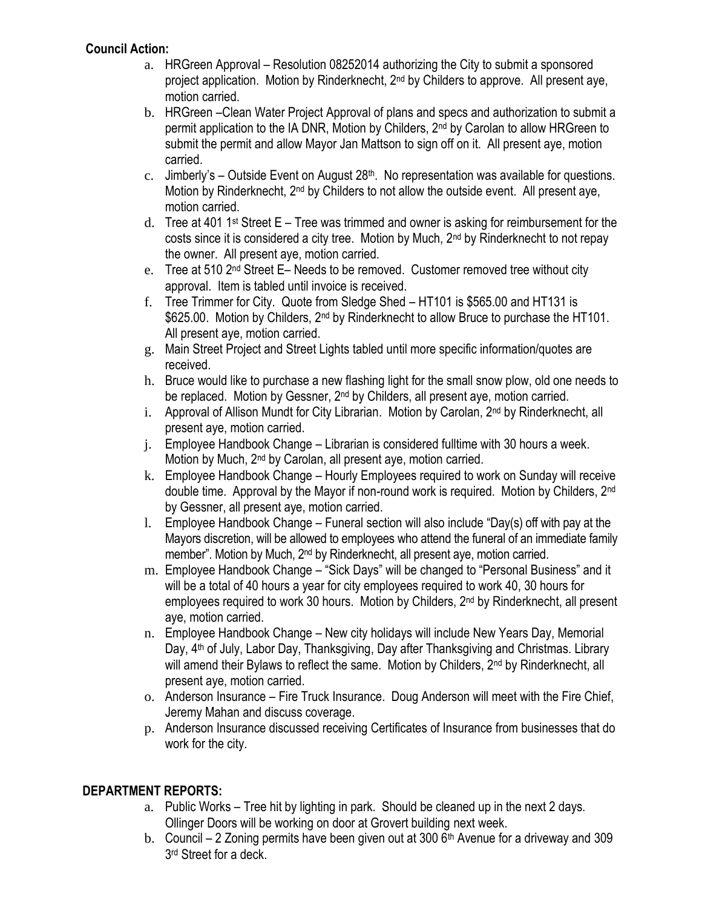## **Council Action:**

- a. HRGreen Approval Resolution 08252014 authorizing the City to submit a sponsored project application. Motion by Rinderknecht, 2nd by Childers to approve. All present aye, motion carried.
- b. HRGreen –Clean Water Project Approval of plans and specs and authorization to submit a permit application to the IA DNR, Motion by Childers, 2nd by Carolan to allow HRGreen to submit the permit and allow Mayor Jan Mattson to sign off on it. All present aye, motion carried.
- c. Jimberly's Outside Event on August  $28<sup>th</sup>$ . No representation was available for questions. Motion by Rinderknecht, 2<sup>nd</sup> by Childers to not allow the outside event. All present aye, motion carried.
- d. Tree at 401 1<sup>st</sup> Street E Tree was trimmed and owner is asking for reimbursement for the costs since it is considered a city tree. Motion by Much,  $2<sup>nd</sup>$  by Rinderknecht to not repay the owner. All present aye, motion carried.
- e. Tree at 510  $2^{nd}$  Street E– Needs to be removed. Customer removed tree without city approval. Item is tabled until invoice is received.
- f. Tree Trimmer for City. Quote from Sledge Shed HT101 is \$565.00 and HT131 is  $$625.00.$  Motion by Childers,  $2^{nd}$  by Rinderknecht to allow Bruce to purchase the HT101. All present aye, motion carried.
- g. Main Street Project and Street Lights tabled until more specific information/quotes are received.
- h. Bruce would like to purchase a new flashing light for the small snow plow, old one needs to be replaced. Motion by Gessner, 2<sup>nd</sup> by Childers, all present aye, motion carried.
- i. Approval of Allison Mundt for City Librarian. Motion by Carolan, 2<sup>nd</sup> by Rinderknecht, all present aye, motion carried.
- j. Employee Handbook Change Librarian is considered fulltime with 30 hours a week. Motion by Much, 2<sup>nd</sup> by Carolan, all present aye, motion carried.
- k. Employee Handbook Change Hourly Employees required to work on Sunday will receive double time. Approval by the Mayor if non-round work is required. Motion by Childers, 2nd by Gessner, all present aye, motion carried.
- l. Employee Handbook Change Funeral section will also include "Day(s) off with pay at the Mayors discretion, will be allowed to employees who attend the funeral of an immediate family member". Motion by Much, 2nd by Rinderknecht, all present aye, motion carried.
- m. Employee Handbook Change "Sick Days" will be changed to "Personal Business" and it will be a total of 40 hours a year for city employees required to work 40, 30 hours for employees required to work 30 hours. Motion by Childers, 2nd by Rinderknecht, all present aye, motion carried.
- n. Employee Handbook Change New city holidays will include New Years Day, Memorial Day, 4<sup>th</sup> of July, Labor Day, Thanksgiving, Day after Thanksgiving and Christmas. Library will amend their Bylaws to reflect the same. Motion by Childers, 2<sup>nd</sup> by Rinderknecht, all present aye, motion carried.
- o. Anderson Insurance Fire Truck Insurance. Doug Anderson will meet with the Fire Chief, Jeremy Mahan and discuss coverage.
- p. Anderson Insurance discussed receiving Certificates of Insurance from businesses that do work for the city.

## **DEPARTMENT REPORTS:**

- a. Public Works Tree hit by lighting in park. Should be cleaned up in the next 2 days. Ollinger Doors will be working on door at Grovert building next week.
- b. Council 2 Zoning permits have been given out at 300  $6<sup>th</sup>$  Avenue for a driveway and 309 3<sup>rd</sup> Street for a deck.